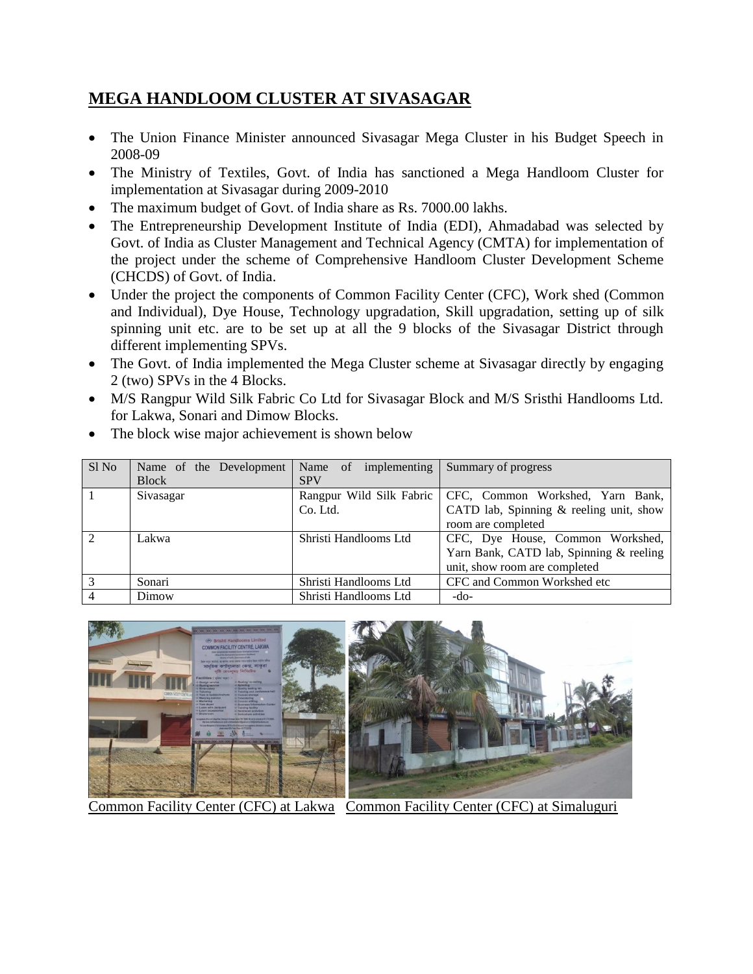## **MEGA HANDLOOM CLUSTER AT SIVASAGAR**

- The Union Finance Minister announced Sivasagar Mega Cluster in his Budget Speech in 2008-09
- The Ministry of Textiles, Govt. of India has sanctioned a Mega Handloom Cluster for implementation at Sivasagar during 2009-2010
- The maximum budget of Govt. of India share as Rs. 7000.00 lakhs.
- The Entrepreneurship Development Institute of India (EDI), Ahmadabad was selected by Govt. of India as Cluster Management and Technical Agency (CMTA) for implementation of the project under the scheme of Comprehensive Handloom Cluster Development Scheme (CHCDS) of Govt. of India.
- Under the project the components of Common Facility Center (CFC), Work shed (Common and Individual), Dye House, Technology upgradation, Skill upgradation, setting up of silk spinning unit etc. are to be set up at all the 9 blocks of the Sivasagar District through different implementing SPVs.
- The Govt. of India implemented the Mega Cluster scheme at Sivasagar directly by engaging 2 (two) SPVs in the 4 Blocks.
- M/S Rangpur Wild Silk Fabric Co Ltd for Sivasagar Block and M/S Sristhi Handlooms Ltd. for Lakwa, Sonari and Dimow Blocks.

| Sl No          | Name of the Development | Name of implementing  | Summary of progress                                         |  |  |
|----------------|-------------------------|-----------------------|-------------------------------------------------------------|--|--|
|                | <b>Block</b>            | <b>SPV</b>            |                                                             |  |  |
|                | Sivasagar               |                       | Rangpur Wild Silk Fabric   CFC, Common Workshed, Yarn Bank, |  |  |
|                |                         | Co. Ltd.              | CATD lab, Spinning & reeling unit, show                     |  |  |
|                |                         |                       | room are completed                                          |  |  |
| $\mathfrak{D}$ | Lakwa                   | Shristi Handlooms Ltd | CFC, Dye House, Common Workshed,                            |  |  |
|                |                         |                       | Yarn Bank, CATD lab, Spinning & reeling                     |  |  |
|                |                         |                       | unit, show room are completed                               |  |  |
| $\mathcal{R}$  | Sonari                  | Shristi Handlooms Ltd | CFC and Common Workshed etc                                 |  |  |
|                | Dimow                   | Shristi Handlooms Ltd | $-do-$                                                      |  |  |

• The block wise major achievement is shown below



Common Facility Center (CFC) at Lakwa Common Facility Center (CFC) at Simaluguri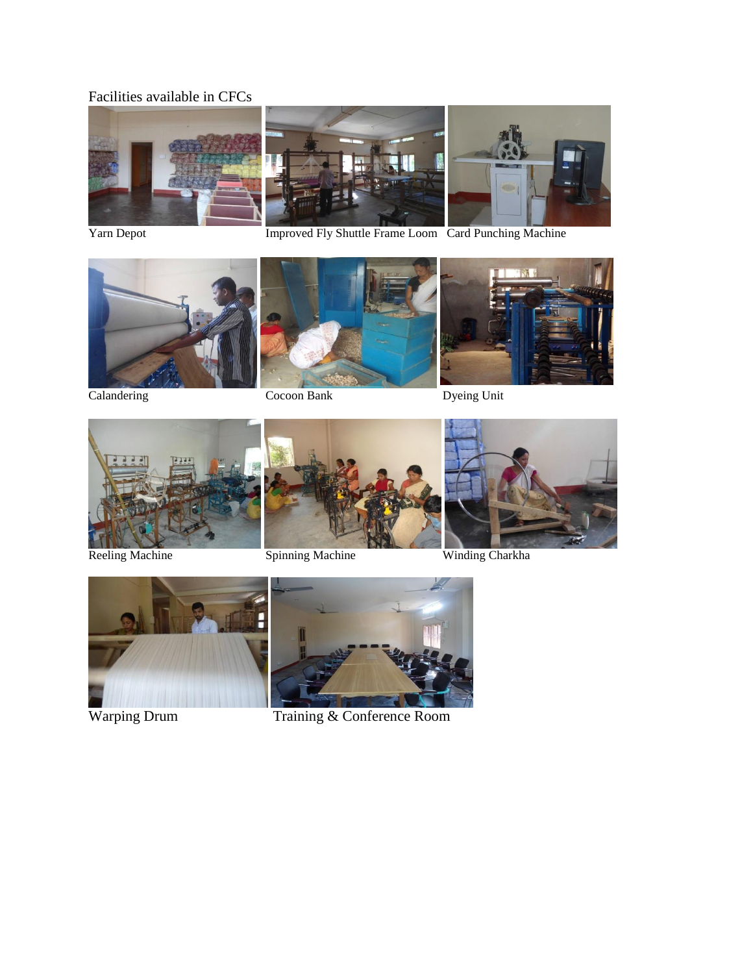## Facilities available in CFCs











Calandering Cocoon Bank Dyeing Unit







Reeling Machine Spinning Machine Winding Charkha







Warping Drum Training & Conference Room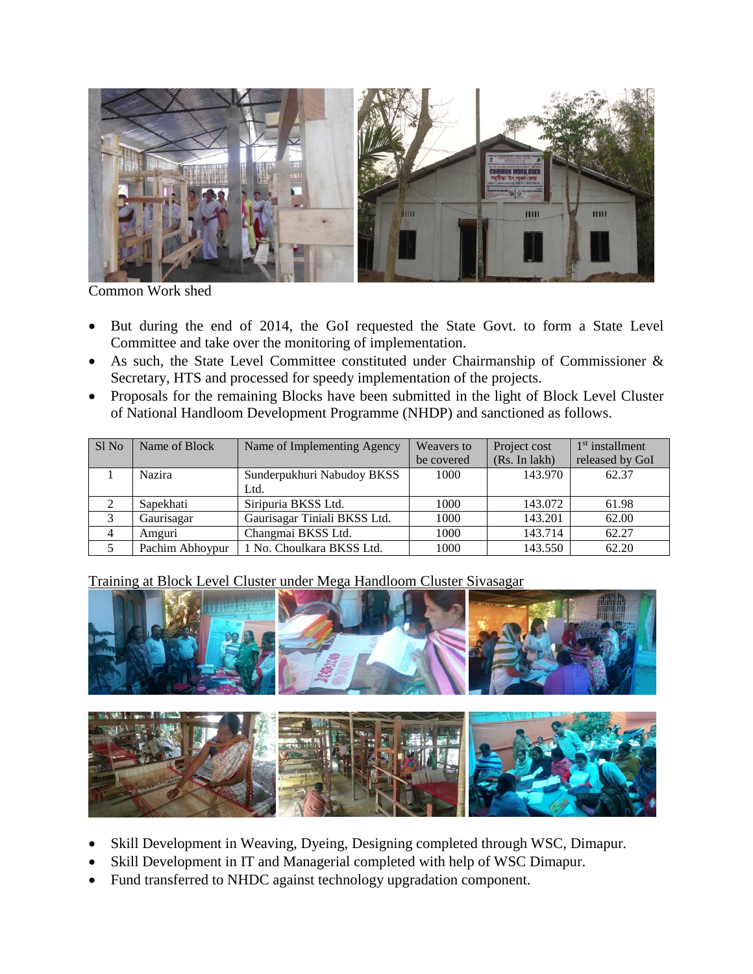

Common Work shed

- But during the end of 2014, the GoI requested the State Govt. to form a State Level Committee and take over the monitoring of implementation.
- As such, the State Level Committee constituted under Chairmanship of Commissioner & Secretary, HTS and processed for speedy implementation of the projects.
- Proposals for the remaining Blocks have been submitted in the light of Block Level Cluster of National Handloom Development Programme (NHDP) and sanctioned as follows.

| Sl <sub>No</sub> | Name of Block   | Name of Implementing Agency  | Weavers to | Project cost  | $1st$ installment |
|------------------|-----------------|------------------------------|------------|---------------|-------------------|
|                  |                 |                              | be covered | (Rs. In lakh) | released by GoI   |
|                  | Nazira          | Sunderpukhuri Nabudoy BKSS   | 1000       | 143.970       | 62.37             |
|                  |                 | Ltd.                         |            |               |                   |
| 2                | Sapekhati       | Siripuria BKSS Ltd.          | 1000       | 143.072       | 61.98             |
| 3                | Gaurisagar      | Gaurisagar Tiniali BKSS Ltd. | 1000       | 143.201       | 62.00             |
| 4                | Amguri          | Changmai BKSS Ltd.           | 1000       | 143.714       | 62.27             |
|                  | Pachim Abhoypur | 1 No. Choulkara BKSS Ltd.    | 1000       | 143.550       | 62.20             |

Training at Block Level Cluster under Mega Handloom Cluster Sivasagar



- Skill Development in Weaving, Dyeing, Designing completed through WSC, Dimapur.
- Skill Development in IT and Managerial completed with help of WSC Dimapur.
- Fund transferred to NHDC against technology upgradation component.